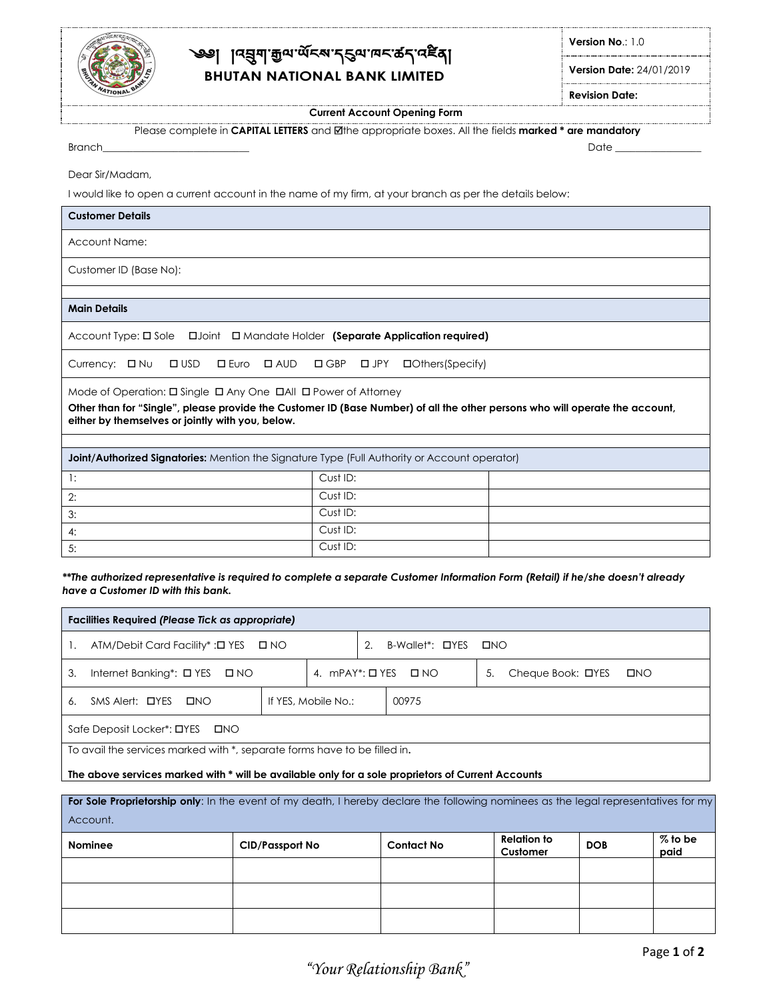

# ্জ্ঞ৷াব্রুনাক্সি<sub>ন পূ</sub>পন্দ্রান্ত্র ক্ষম কৰি **BHUTAN NATIONAL BANK LIMITED**

**Version No**.: 1.0

**Version Date:** 24/01/2019

**Revision Date:**

**Current Account Opening Form**

Please complete in **CAPITAL LETTERS** and the appropriate boxes. Allthe fields **marked \* are mandatory**

Branch\_\_\_\_\_\_\_\_\_\_\_\_\_\_\_\_\_\_\_\_\_\_\_\_\_\_\_\_\_ Date \_\_\_\_\_\_\_\_\_\_\_\_\_\_\_\_\_

Dear Sir/Madam,

I would like to open a current account in the name of my firm, at your branch as per the details below:

| <b>Customer Details</b>                                                                                                      |                  |  |
|------------------------------------------------------------------------------------------------------------------------------|------------------|--|
| <b>Account Name:</b>                                                                                                         |                  |  |
| Customer ID (Base No):                                                                                                       |                  |  |
|                                                                                                                              |                  |  |
| <b>Main Details</b>                                                                                                          |                  |  |
| Account Type: $\square$ Sole $\square$ Joint $\square$ Mandate Holder (Separate Application required)                        |                  |  |
| <b>□ Euro</b> □ AUD □ GBP □ JPY<br>Currency: □ Nu<br>$\Box$ USD                                                              | □Others(Specify) |  |
| Mode of Operation: $\Box$ Single $\Box$ Any One $\Box$ All $\Box$ Power of Attorney                                          |                  |  |
| Other than for "Single", please provide the Customer ID (Base Number) of all the other persons who will operate the account, |                  |  |
| either by themselves or jointly with you, below.                                                                             |                  |  |
| <b>Joint/Authorized Signatories:</b> Mention the Signature Type (Full Authority or Account operator)                         |                  |  |
| 1:                                                                                                                           | Cust ID:         |  |
| 2:                                                                                                                           | Cust ID:         |  |
| 3:                                                                                                                           | Cust ID:         |  |
| 4:                                                                                                                           | Cust ID:         |  |
| 5:                                                                                                                           | Cust ID:         |  |

\*\*The authorized representative is required to complete a separate Customer Information Form (Retail) if he/she doesn't already *have a Customer ID with this bank.*

| <b>Facilities Required (Please Tick as appropriate)</b>                                            |                     |  |                                    |                                         |  |  |
|----------------------------------------------------------------------------------------------------|---------------------|--|------------------------------------|-----------------------------------------|--|--|
| ATM/Debit Card Facility* : 0 YES D NO                                                              |                     |  | B-Wallet*: <b>OYES</b> ONO         |                                         |  |  |
| Internet Banking*: □ YES □ NO<br>3.                                                                |                     |  | 4. $mPAY^*$ : $\Box$ YES $\Box$ NO | Cheque Book: □YES<br>$\square$ NO<br>5. |  |  |
| SMS Alert: <b>OYES</b><br><b>LINO</b><br>6.                                                        | If YES, Mobile No.: |  | 00975                              |                                         |  |  |
| Safe Deposit Locker*: □YES<br><b>OND</b>                                                           |                     |  |                                    |                                         |  |  |
| To avail the services marked with *, separate forms have to be filled in.                          |                     |  |                                    |                                         |  |  |
| The above services marked with * will be available only for a sole proprietors of Current Accounts |                     |  |                                    |                                         |  |  |

For Sole Proprietorship only: In the event of my death, I hereby declare the following nominees as the legal representatives for my Account. **Nominee CID/Passport No Contact No Customer Relation to Customer DOB % to be paid**